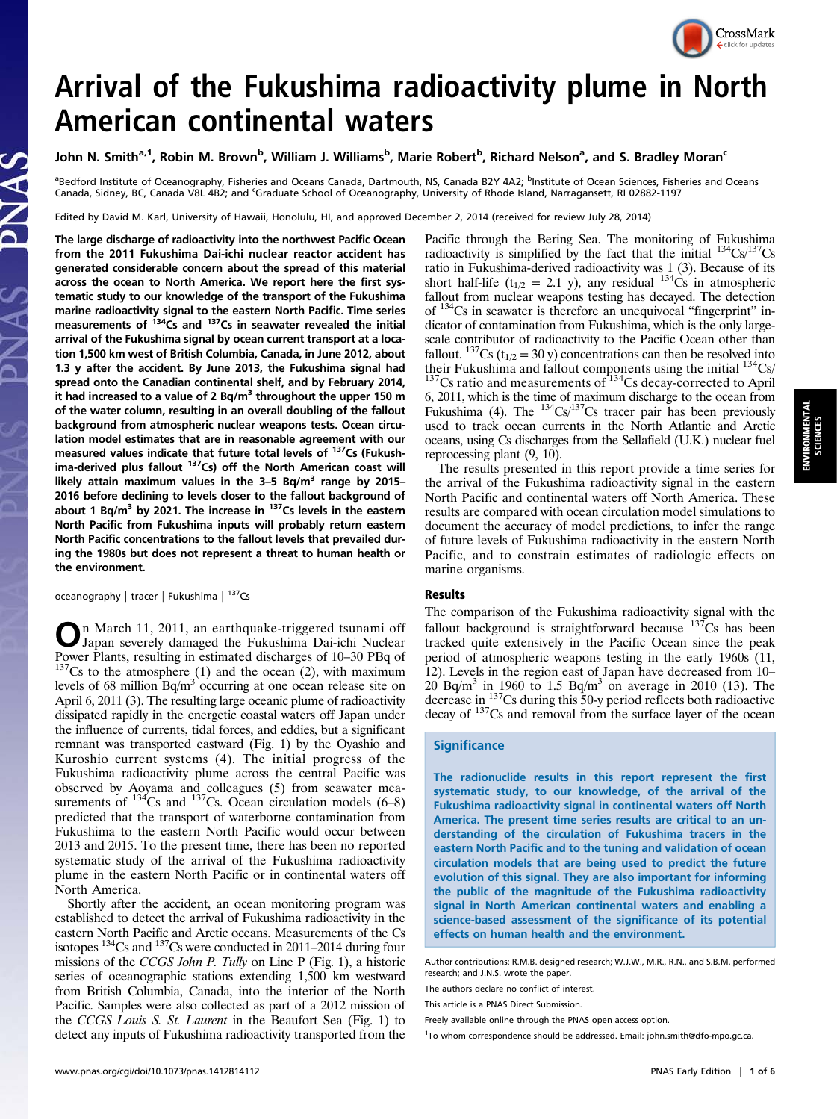

# Arrival of the Fukushima radioactivity plume in North American continental waters

## John N. Smith<sup>a, 1</sup>, Robin M. Brown<sup>b</sup>, William J. Williams<sup>b</sup>, Marie Robert<sup>b</sup>, Richard Nelson<sup>a</sup>, and S. Bradley Moran<sup>c</sup>

<sup>a</sup>Bedford Institute of Oceanography, Fisheries and Oceans Canada, Dartmouth, NS, Canada B2Y 4A2; <sup>b</sup>Institute of Ocean Sciences, Fisheries and Oceans Canada, Sidney, BC, Canada V8L 482; and <sup>c</sup>Graduate School of Oceanography, University of Rhode Island, Narragansett, RI 02882-1197

Edited by David M. Karl, University of Hawaii, Honolulu, HI, and approved December 2, 2014 (received for review July 28, 2014)

The large discharge of radioactivity into the northwest Pacific Ocean from the 2011 Fukushima Dai-ichi nuclear reactor accident has generated considerable concern about the spread of this material across the ocean to North America. We report here the first systematic study to our knowledge of the transport of the Fukushima marine radioactivity signal to the eastern North Pacific. Time series<br>measurements of <sup>134</sup>Cs and <sup>137</sup>Cs in seawater revealed the initial arrival of the Fukushima signal by ocean current transport at a location 1,500 km west of British Columbia, Canada, in June 2012, about 1.3 y after the accident. By June 2013, the Fukushima signal had spread onto the Canadian continental shelf, and by February 2014, it had increased to a value of 2 Bq/m<sup>3</sup> throughout the upper 150 m of the water column, resulting in an overall doubling of the fallout background from atmospheric nuclear weapons tests. Ocean circulation model estimates that are in reasonable agreement with our measured values indicate that future total levels of 137Cs (Fukushima-derived plus fallout  $137Cs$ ) off the North American coast will likely attain maximum values in the  $3-5$  Bq/m<sup>3</sup> range by 2015– 2016 before declining to levels closer to the fallout background of about 1 Bq/m<sup>3</sup> by 2021. The increase in  $137$ Cs levels in the eastern North Pacific from Fukushima inputs will probably return eastern North Pacific concentrations to the fallout levels that prevailed during the 1980s but does not represent a threat to human health or the environment.

oceanography | tracer | Fukushima | 137Cs

On March 11, 2011, an earthquake-triggered tsunami off Japan severely damaged the Fukushima Dai-ichi Nuclear Power Plants, resulting in estimated discharges of  $10-30$  PBq of  $137$ Cs to the atmosphere (1) and the ocean (2), with maximum levels of 68 million  $Bq/m<sup>3</sup>$  occurring at one ocean release site on April 6, 2011 (3). The resulting large oceanic plume of radioactivity dissipated rapidly in the energetic coastal waters off Japan under the influence of currents, tidal forces, and eddies, but a significant remnant was transported eastward (Fig. 1) by the Oyashio and Kuroshio current systems (4). The initial progress of the Fukushima radioactivity plume across the central Pacific was observed by Aoyama and colleagues (5) from seawater measurements of  $134Cs$  and  $137Cs$ . Ocean circulation models (6–8) predicted that the transport of waterborne contamination from Fukushima to the eastern North Pacific would occur between 2013 and 2015. To the present time, there has been no reported systematic study of the arrival of the Fukushima radioactivity plume in the eastern North Pacific or in continental waters off North America.

Shortly after the accident, an ocean monitoring program was established to detect the arrival of Fukushima radioactivity in the eastern North Pacific and Arctic oceans. Measurements of the Cs isotopes 134Cs and 137Cs were conducted in 2011–2014 during four missions of the CCGS John P. Tully on Line P (Fig. 1), a historic series of oceanographic stations extending 1,500 km westward from British Columbia, Canada, into the interior of the North Pacific. Samples were also collected as part of a 2012 mission of the CCGS Louis S. St. Laurent in the Beaufort Sea (Fig. 1) to detect any inputs of Fukushima radioactivity transported from the

Pacific through the Bering Sea. The monitoring of Fukushima radioactivity is simplified by the fact that the initial  $^{134}Cs/^{137}Cs$ ratio in Fukushima-derived radioactivity was 1 (3). Because of its short half-life ( $t_{1/2}$  = 2.1 y), any residual  $134\text{Cs}$  in atmospheric fallout from nuclear weapons testing has decayed. The detection of 134Cs in seawater is therefore an unequivocal "fingerprint" indicator of contamination from Fukushima, which is the only largescale contributor of radioactivity to the Pacific Ocean other than fallout. <sup>137</sup>Cs ( $t_{1/2}$  = 30 y) concentrations can then be resolved into their Fukushima and fallout components using the initial <sup>134</sup>Cs/<br><sup>137</sup>Cs ratio and measurements of <sup>134</sup>Cs decay-corrected to April 6, 2011, which is the time of maximum discharge to the ocean from Fukushima (4). The  $134$ Cs/ $137$ Cs tracer pair has been previously used to track ocean currents in the North Atlantic and Arctic oceans, using Cs discharges from the Sellafield (U.K.) nuclear fuel reprocessing plant (9, 10).

The results presented in this report provide a time series for the arrival of the Fukushima radioactivity signal in the eastern North Pacific and continental waters off North America. These results are compared with ocean circulation model simulations to document the accuracy of model predictions, to infer the range of future levels of Fukushima radioactivity in the eastern North Pacific, and to constrain estimates of radiologic effects on marine organisms.

#### Results

The comparison of the Fukushima radioactivity signal with the fallout background is straightforward because  $137Cs$  has been tracked quite extensively in the Pacific Ocean since the peak period of atmospheric weapons testing in the early 1960s (11, 12). Levels in the region east of Japan have decreased from 10–  $20^{6}$  Bq/m<sup>3</sup> in 1960 to 1.5 Bq/m<sup>3</sup> on average in 2010 (13). The decrease in 137Cs during this 50-y period reflects both radioactive decay of <sup>137</sup>Cs and removal from the surface layer of the ocean

### **Significance**

The radionuclide results in this report represent the first systematic study, to our knowledge, of the arrival of the Fukushima radioactivity signal in continental waters off North America. The present time series results are critical to an understanding of the circulation of Fukushima tracers in the eastern North Pacific and to the tuning and validation of ocean circulation models that are being used to predict the future evolution of this signal. They are also important for informing the public of the magnitude of the Fukushima radioactivity signal in North American continental waters and enabling a science-based assessment of the significance of its potential effects on human health and the environment.

Author contributions: R.M.B. designed research; W.J.W., M.R., R.N., and S.B.M. performed research; and J.N.S. wrote the paper.

The authors declare no conflict of interest.

This article is a PNAS Direct Submission.

Freely available online through the PNAS open access option.

<sup>1</sup>To whom correspondence should be addressed. Email: [john.smith@dfo-mpo.gc.ca](mailto:john.smith@dfo-mpo.gc.ca).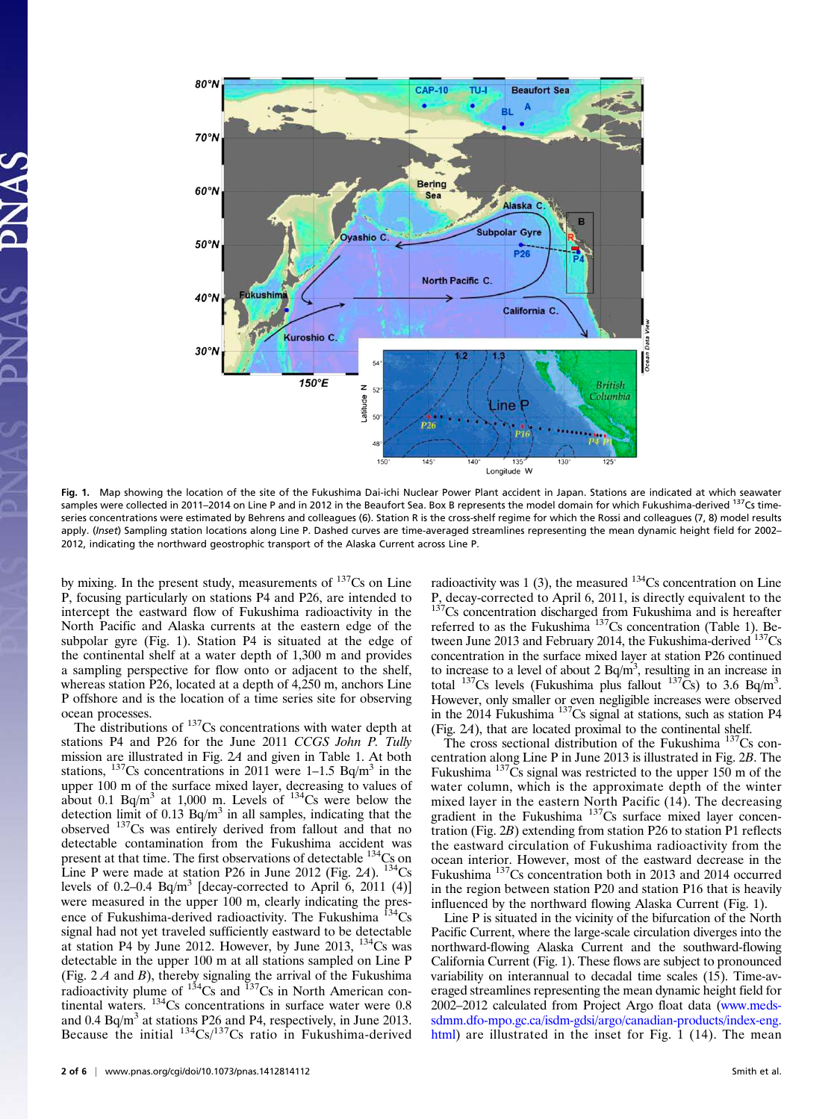

Fig. 1. Map showing the location of the site of the Fukushima Dai-ichi Nuclear Power Plant accident in Japan. Stations are indicated at which seawater samples were collected in 2011–2014 on Line P and in 2012 in the Beaufort Sea. Box B represents the model domain for which Fukushima-derived <sup>137</sup>Cs timeseries concentrations were estimated by Behrens and colleagues (6). Station R is the cross-shelf regime for which the Rossi and colleagues (7, 8) model results apply. (Inset) Sampling station locations along Line P. Dashed curves are time-averaged streamlines representing the mean dynamic height field for 2002-2012, indicating the northward geostrophic transport of the Alaska Current across Line P.

by mixing. In the present study, measurements of  $137Cs$  on Line P, focusing particularly on stations P4 and P26, are intended to intercept the eastward flow of Fukushima radioactivity in the North Pacific and Alaska currents at the eastern edge of the subpolar gyre (Fig. 1). Station P4 is situated at the edge of the continental shelf at a water depth of 1,300 m and provides a sampling perspective for flow onto or adjacent to the shelf, whereas station P26, located at a depth of 4,250 m, anchors Line P offshore and is the location of a time series site for observing ocean processes.

The distributions of <sup>137</sup>Cs concentrations with water depth at stations P4 and P26 for the June 2011 CCGS John P. Tully mission are illustrated in Fig. 2A and given in Table 1. At both stations,  $^{137}$ Cs concentrations in 2011 were 1–1.5 Bq/m<sup>3</sup> in the upper 100 m of the surface mixed layer, decreasing to values of about 0.1 Bq/m<sup>3</sup> at 1,000 m. Levels of  $^{134}$ Cs were below the detection limit of 0.13  $Bq/m<sup>3</sup>$  in all samples, indicating that the observed 137Cs was entirely derived from fallout and that no detectable contamination from the Fukushima accident was present at that time. The first observations of detectable <sup>134</sup>Cs on Line P were made at station P26 in June 2012 (Fig. 2A).  $134$ Cs levels of 0.2–0.4 Bq/m<sup>3</sup> [decay-corrected to April 6, 2011 (4)] were measured in the upper 100 m, clearly indicating the presence of Fukushima-derived radioactivity. The Fukushima  $^{134}Cs$ signal had not yet traveled sufficiently eastward to be detectable at station P4 by June 2012. However, by June 2013,  $134$ Cs was detectable in the upper 100 m at all stations sampled on Line P (Fig.  $2A$  and B), thereby signaling the arrival of the Fukushima radioactivity plume of  $134\text{Cs}$  and  $137\text{Cs}$  in North American continental waters. <sup>134</sup>Cs concentrations in surface water were 0.8 and 0.4 Bq/m<sup>3</sup> at stations P26 and P4, respectively, in June 2013. Because the initial  $^{134}Cs^{137}Cs$  ratio in Fukushima-derived

radioactivity was 1 (3), the measured  $134$ Cs concentration on Line P, decay-corrected to April 6, 2011, is directly equivalent to the <sup>137</sup>Cs concentration discharged from Fukushima and is hereafter referred to as the Fukushima<sup>137</sup>Cs concentration (Table 1). Between June 2013 and February 2014, the Fukushima-derived  $137Cs$ concentration in the surface mixed layer at station P26 continued to increase to a level of about 2  $Bq/m<sup>3</sup>$ , resulting in an increase in total <sup>137</sup>Cs levels (Fukushima plus fallout  $137Cs$ ) to 3.6 Bq/m<sup>3</sup>. However, only smaller or even negligible increases were observed in the 2014 Fukushima  $^{137}Cs$  signal at stations, such as station P4 (Fig. 2A), that are located proximal to the continental shelf.

The cross sectional distribution of the Fukushima  $^{137}Cs$  concentration along Line P in June 2013 is illustrated in Fig. 2B. The Fukushima  $137\text{Cs}$  signal was restricted to the upper 150 m of the water column, which is the approximate depth of the winter mixed layer in the eastern North Pacific (14). The decreasing gradient in the Fukushima<sup>137</sup>Cs surface mixed layer concentration (Fig. 2B) extending from station P26 to station P1 reflects the eastward circulation of Fukushima radioactivity from the ocean interior. However, most of the eastward decrease in the Fukushima<sup>137</sup>Cs concentration both in 2013 and 2014 occurred in the region between station P20 and station P16 that is heavily influenced by the northward flowing Alaska Current (Fig. 1).

Line P is situated in the vicinity of the bifurcation of the North Pacific Current, where the large-scale circulation diverges into the northward-flowing Alaska Current and the southward-flowing California Current (Fig. 1). These flows are subject to pronounced variability on interannual to decadal time scales (15). Time-averaged streamlines representing the mean dynamic height field for 2002–2012 calculated from Project Argo float data [\(www.meds](http://www.meds-sdmm.dfo-mpo.gc.ca/isdm-gdsi/argo/canadian-products/index-eng.html)[sdmm.dfo-mpo.gc.ca/isdm-gdsi/argo/canadian-products/index-eng.](http://www.meds-sdmm.dfo-mpo.gc.ca/isdm-gdsi/argo/canadian-products/index-eng.html) [html\)](http://www.meds-sdmm.dfo-mpo.gc.ca/isdm-gdsi/argo/canadian-products/index-eng.html) are illustrated in the inset for Fig. 1 (14). The mean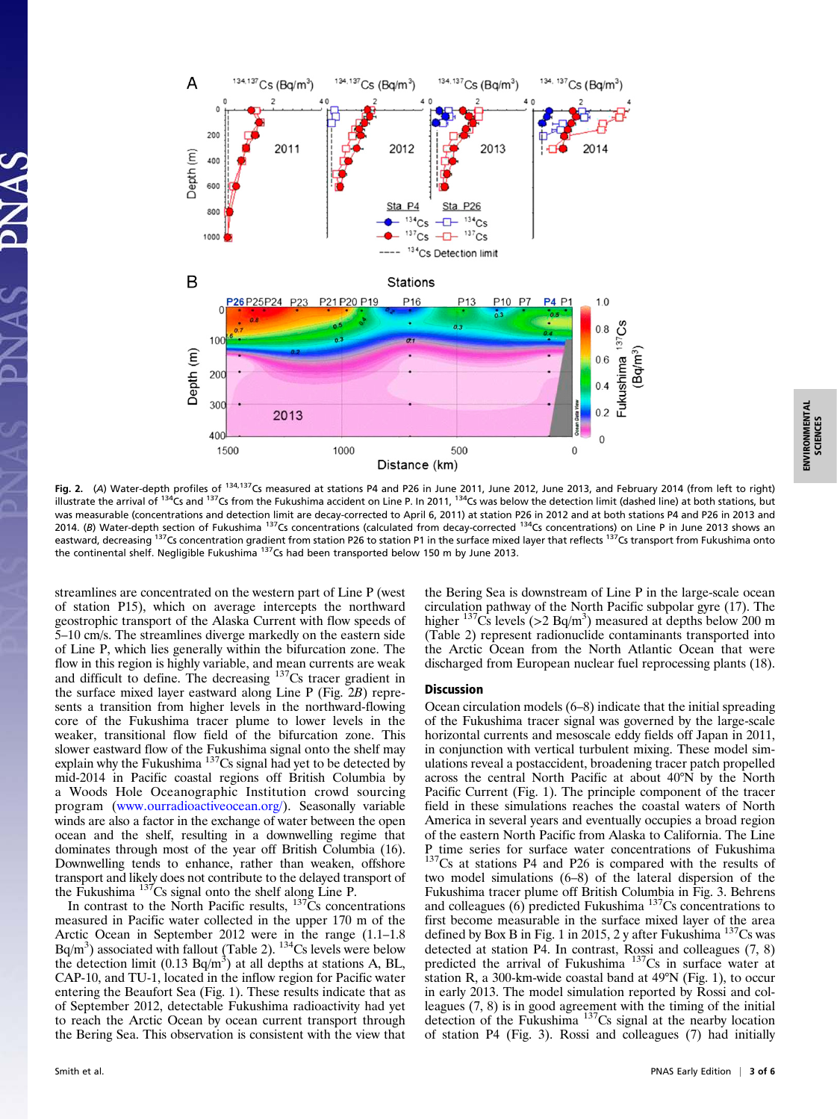

Fig. 2. (A) Water-depth profiles of <sup>134,137</sup>Cs measured at stations P4 and P26 in June 2011, June 2012, June 2013, and February 2014 (from left to right) illustrate the arrival of <sup>134</sup>Cs and <sup>137</sup>Cs from the Fukushima accident on Line P. In 2011, <sup>134</sup>Cs was below the detection limit (dashed line) at both stations, but was measurable (concentrations and detection limit are decay-corrected to April 6, 2011) at station P26 in 2012 and at both stations P4 and P26 in 2013 and 2014. (B) Water-depth section of Fukushima  $137$ Cs concentrations (calculated from decay-corrected  $134$ Cs concentrations) on Line P in June 2013 shows an eastward, decreasing <sup>137</sup>Cs concentration gradient from station P26 to station P1 in the surface mixed layer that reflects <sup>137</sup>Cs transport from Fukushima onto

streamlines are concentrated on the western part of Line P (west of station P15), which on average intercepts the northward geostrophic transport of the Alaska Current with flow speeds of 5–10 cm/s. The streamlines diverge markedly on the eastern side of Line P, which lies generally within the bifurcation zone. The flow in this region is highly variable, and mean currents are weak and difficult to define. The decreasing 137Cs tracer gradient in the surface mixed layer eastward along Line P (Fig. 2B) represents a transition from higher levels in the northward-flowing core of the Fukushima tracer plume to lower levels in the weaker, transitional flow field of the bifurcation zone. This slower eastward flow of the Fukushima signal onto the shelf may explain why the Fukushima  $137$ Cs signal had yet to be detected by mid-2014 in Pacific coastal regions off British Columbia by a Woods Hole Oceanographic Institution crowd sourcing program ([www.ourradioactiveocean.org/\)](http://www.ourradioactiveocean.org/). Seasonally variable winds are also a factor in the exchange of water between the open ocean and the shelf, resulting in a downwelling regime that dominates through most of the year off British Columbia (16). Downwelling tends to enhance, rather than weaken, offshore transport and likely does not contribute to the delayed transport of the Fukushima  $137$ Cs signal onto the shelf along Line P.

the continental shelf. Negligible Fukushima <sup>137</sup>Cs had been transported below 150 m by June 2013.

In contrast to the North Pacific results,  $137\overline{C}s$  concentrations measured in Pacific water collected in the upper 170 m of the Arctic Ocean in September 2012 were in the range (1.1–1.8  $Bq/m<sup>3</sup>$ ) associated with fallout (Table 2).  $<sup>134</sup>Cs$  levels were below</sup> the detection limit (0.13 Bq/m<sup>3</sup>) at all depths at stations A, BL, CAP-10, and TU-1, located in the inflow region for Pacific water entering the Beaufort Sea (Fig. 1). These results indicate that as of September 2012, detectable Fukushima radioactivity had yet to reach the Arctic Ocean by ocean current transport through the Bering Sea. This observation is consistent with the view that the Bering Sea is downstream of Line P in the large-scale ocean circulation pathway of the North Pacific subpolar gyre (17). The higher  $137\text{Cs}$  levels (>2 Bq/m<sup>3</sup>) measured at depths below 200 m (Table 2) represent radionuclide contaminants transported into the Arctic Ocean from the North Atlantic Ocean that were discharged from European nuclear fuel reprocessing plants (18).

#### Discussion

Ocean circulation models (6–8) indicate that the initial spreading of the Fukushima tracer signal was governed by the large-scale horizontal currents and mesoscale eddy fields off Japan in 2011, in conjunction with vertical turbulent mixing. These model simulations reveal a postaccident, broadening tracer patch propelled across the central North Pacific at about 40°N by the North Pacific Current (Fig. 1). The principle component of the tracer field in these simulations reaches the coastal waters of North America in several years and eventually occupies a broad region of the eastern North Pacific from Alaska to California. The Line P time series for surface water concentrations of Fukushima <sup>137</sup>Cs at stations P4 and P26 is compared with the results of two model simulations (6–8) of the lateral dispersion of the Fukushima tracer plume off British Columbia in Fig. 3. Behrens and colleagues  $(6)$  predicted Fukushima<sup>137</sup>Cs concentrations to first become measurable in the surface mixed layer of the area defined by Box B in Fig. 1 in 2015, 2 y after Fukushima <sup>137</sup>Cs was detected at station P4. In contrast, Rossi and colleagues (7, 8) predicted the arrival of Fukushima  $137Cs$  in surface water at station R, a 300-km-wide coastal band at 49°N (Fig. 1), to occur in early 2013. The model simulation reported by Rossi and colleagues (7, 8) is in good agreement with the timing of the initial detection of the Fukushima<sup>137</sup>Cs signal at the nearby location of station P4 (Fig. 3). Rossi and colleagues (7) had initially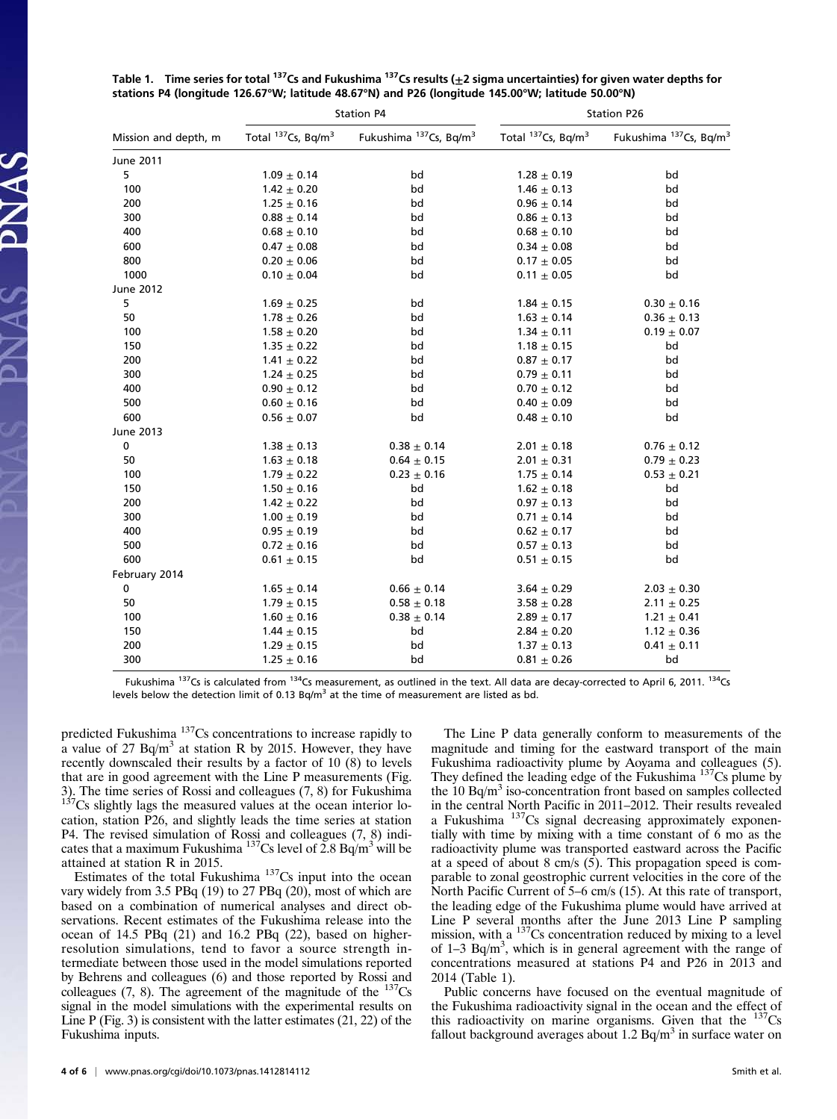| Mission and depth, m | <b>Station P4</b>              |                                    | <b>Station P26</b>             |                                    |
|----------------------|--------------------------------|------------------------------------|--------------------------------|------------------------------------|
|                      | Total 137Cs, Bq/m <sup>3</sup> | Fukushima 137Cs, Bq/m <sup>3</sup> | Total 137Cs, Bq/m <sup>3</sup> | Fukushima 137Cs, Bq/m <sup>3</sup> |
| June 2011            |                                |                                    |                                |                                    |
| 5                    | $1.09 \pm 0.14$                | bd                                 | $1.28 \pm 0.19$                | bd                                 |
| 100                  | $1.42 \pm 0.20$                | bd                                 | $1.46 \pm 0.13$                | bd                                 |
| 200                  | $1.25 \pm 0.16$                | bd                                 | $0.96 \pm 0.14$                | bd                                 |
| 300                  | $0.88 \pm 0.14$                | bd                                 | $0.86 \pm 0.13$                | bd                                 |
| 400                  | $0.68 \pm 0.10$                | bd                                 | $0.68 \pm 0.10$                | bd                                 |
| 600                  | $0.47 \pm 0.08$                | bd                                 | $0.34 \pm 0.08$                | bd                                 |
| 800                  | $0.20 \pm 0.06$                | bd                                 | $0.17 \pm 0.05$                | bd                                 |
| 1000                 | $0.10 \pm 0.04$                | bd                                 | $0.11 \pm 0.05$                | bd                                 |
| June 2012            |                                |                                    |                                |                                    |
| 5                    | $1.69 \pm 0.25$                | bd                                 | $1.84 \pm 0.15$                | $0.30 \pm 0.16$                    |
| 50                   | $1.78 \pm 0.26$                | bd                                 | $1.63 \pm 0.14$                | $0.36 \pm 0.13$                    |
| 100                  | $1.58 \pm 0.20$                | bd                                 | $1.34 \pm 0.11$                | $0.19 \pm 0.07$                    |
| 150                  | $1.35 \pm 0.22$                | bd                                 | $1.18 \pm 0.15$                | bd                                 |
| 200                  | $1.41 \pm 0.22$                | bd                                 | $0.87 \pm 0.17$                | bd                                 |
| 300                  | $1.24 \pm 0.25$                | bd                                 | $0.79 \pm 0.11$                | bd                                 |
| 400                  | $0.90 \pm 0.12$                | bd                                 | $0.70 \pm 0.12$                | bd                                 |
| 500                  | $0.60 \pm 0.16$                | bd                                 | $0.40 \pm 0.09$                | bd                                 |
| 600                  | $0.56 \pm 0.07$                | bd                                 | $0.48 \pm 0.10$                | bd                                 |
| June 2013            |                                |                                    |                                |                                    |
| 0                    | $1.38 \pm 0.13$                | $0.38 \pm 0.14$                    | $2.01 \pm 0.18$                | $0.76 \pm 0.12$                    |
| 50                   | $1.63 \pm 0.18$                | $0.64 \pm 0.15$                    | $2.01 \pm 0.31$                | $0.79 \pm 0.23$                    |
| 100                  | $1.79 \pm 0.22$                | $0.23 \pm 0.16$                    | $1.75 \pm 0.14$                | $0.53 \pm 0.21$                    |
| 150                  | $1.50 \pm 0.16$                | bd                                 | $1.62 \pm 0.18$                | bd                                 |
| 200                  | $1.42 \pm 0.22$                | bd                                 | $0.97 \pm 0.13$                | bd                                 |
| 300                  | $1.00 \pm 0.19$                | bd                                 | $0.71 \pm 0.14$                | bd                                 |
| 400                  | $0.95 \pm 0.19$                | bd                                 | $0.62 \pm 0.17$                | bd                                 |
| 500                  | $0.72 \pm 0.16$                | bd                                 | $0.57 \pm 0.13$                | bd                                 |
| 600                  | $0.61 \pm 0.15$                | bd                                 | $0.51 \pm 0.15$                | bd                                 |
| February 2014        |                                |                                    |                                |                                    |
| 0                    | $1.65 \pm 0.14$                | $0.66 \pm 0.14$                    | $3.64 \pm 0.29$                | $2.03 \pm 0.30$                    |
| 50                   | $1.79 \pm 0.15$                | $0.58 \pm 0.18$                    | $3.58 \pm 0.28$                | $2.11 \pm 0.25$                    |
| 100                  | $1.60 \pm 0.16$                | $0.38 \pm 0.14$                    | $2.89 \pm 0.17$                | $1.21 \pm 0.41$                    |
| 150                  | $1.44 \pm 0.15$                | bd                                 | $2.84 \pm 0.20$                | $1.12 \pm 0.36$                    |
| 200                  | $1.29 \pm 0.15$                | bd                                 | $1.37 \pm 0.13$                | $0.41 \pm 0.11$                    |
| 300                  | $1.25 \pm 0.16$                | bd                                 | $0.81 \pm 0.26$                | bd                                 |

Table 1. Time series for total <sup>137</sup>Cs and Fukushima <sup>137</sup>Cs results ( $\pm 2$  sigma uncertainties) for given water depths for stations P4 (longitude 126.67°W; latitude 48.67°N) and P26 (longitude 145.00°W; latitude 50.00°N)

Fukushima <sup>137</sup>Cs is calculated from <sup>134</sup>Cs measurement, as outlined in the text. All data are decay-corrected to April 6, 2011. <sup>134</sup>Cs levels below the detection limit of 0.13 Bq/m<sup>3</sup> at the time of measurement are listed as bd.

predicted Fukushima<sup>137</sup>Cs concentrations to increase rapidly to a value of  $27$  Bq/m<sup>3</sup> at station R by 2015. However, they have recently downscaled their results by a factor of 10 (8) to levels that are in good agreement with the Line P measurements (Fig. 3). The time series of Rossi and colleagues  $(7, 8)$  for Fukushima  $137\text{Cs}$  slightly lags the measured values at the ocean interior location, station P26, and slightly leads the time series at station P4. The revised simulation of Rossi and colleagues (7, 8) indicates that a maximum Fukushima <sup>137</sup>Cs level of  $2.8$  Bq/m<sup>3</sup> will be attained at station R in 2015.

SVNAS PNAS

Estimates of the total Fukushima  $137Cs$  input into the ocean vary widely from 3.5 PBq  $(19)$  to 27 PBq  $(20)$ , most of which are based on a combination of numerical analyses and direct observations. Recent estimates of the Fukushima release into the ocean of 14.5 PBq (21) and 16.2 PBq (22), based on higherresolution simulations, tend to favor a source strength intermediate between those used in the model simulations reported by Behrens and colleagues (6) and those reported by Rossi and colleagues (7, 8). The agreement of the magnitude of the  $137Cs$ signal in the model simulations with the experimental results on Line P (Fig. 3) is consistent with the latter estimates (21, 22) of the Fukushima inputs.

The Line P data generally conform to measurements of the magnitude and timing for the eastward transport of the main Fukushima radioactivity plume by Aoyama and colleagues (5). They defined the leading edge of the Fukushima <sup>137</sup>Cs plume by the  $10$  Bq/m<sup>3</sup> iso-concentration front based on samples collected in the central North Pacific in 2011–2012. Their results revealed a Fukushima <sup>137</sup>Cs signal decreasing approximately exponentially with time by mixing with a time constant of 6 mo as the radioactivity plume was transported eastward across the Pacific at a speed of about 8 cm/s (5). This propagation speed is comparable to zonal geostrophic current velocities in the core of the North Pacific Current of 5–6 cm/s (15). At this rate of transport, the leading edge of the Fukushima plume would have arrived at Line P several months after the June 2013 Line P sampling mission, with a  $137$ Cs concentration reduced by mixing to a level of  $1-3$  Bq/m<sup>3</sup>, which is in general agreement with the range of concentrations measured at stations P4 and P26 in 2013 and 2014 (Table 1).

Public concerns have focused on the eventual magnitude of the Fukushima radioactivity signal in the ocean and the effect of this radioactivity on marine organisms. Given that the  $137Cs$ fallout background averages about  $1.2$  Bq/m<sup>3</sup> in surface water on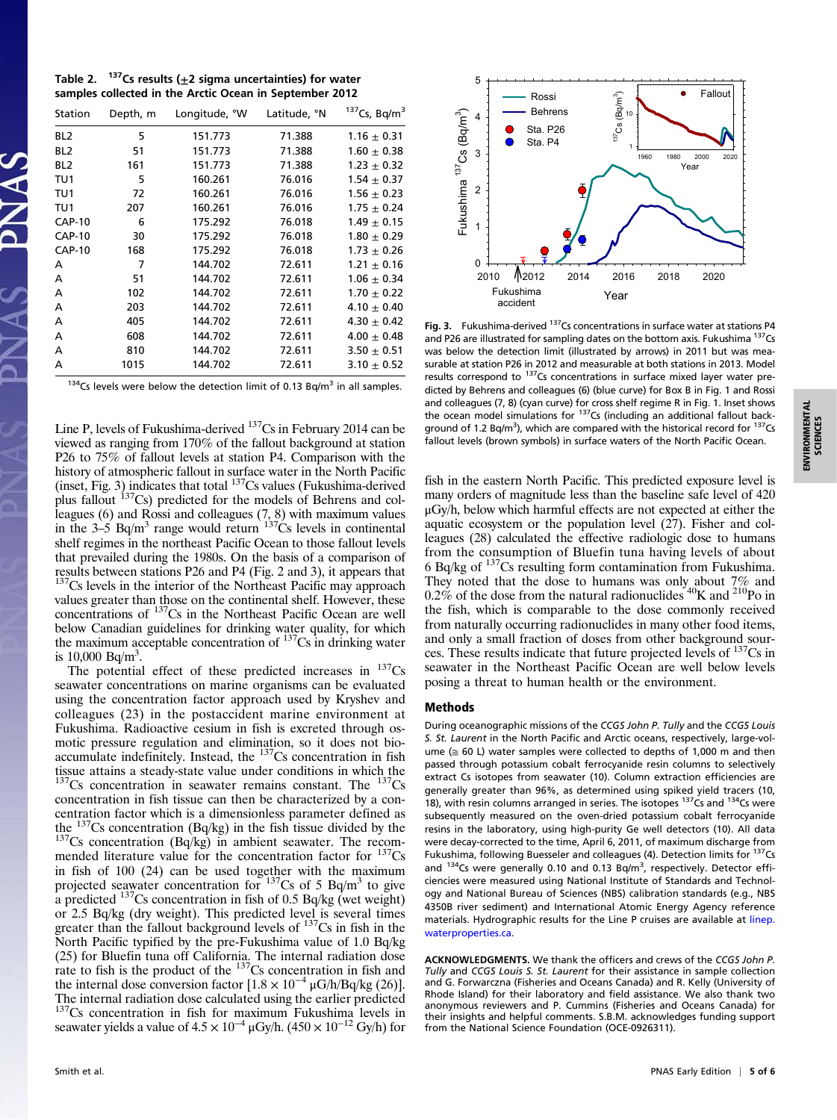Table 2.  $137$ Cs results ( $\pm$ 2 sigma uncertainties) for water samples collected in the Arctic Ocean in September 2012

| Station         | Depth, m | Longitude, °W | Latitude, °N | $137$ Cs, Bq/m <sup>3</sup> |
|-----------------|----------|---------------|--------------|-----------------------------|
| BL <sub>2</sub> | 5        | 151.773       | 71.388       | $1.16 \pm 0.31$             |
| BL <sub>2</sub> | 51       | 151.773       | 71.388       | $1.60 \pm 0.38$             |
| BL <sub>2</sub> | 161      | 151.773       | 71.388       | $1.23 \pm 0.32$             |
| TU1             | 5        | 160.261       | 76.016       | $1.54 \pm 0.37$             |
| TU <sub>1</sub> | 72       | 160.261       | 76.016       | $1.56 \pm 0.23$             |
| TU1             | 207      | 160.261       | 76.016       | $1.75 \pm 0.24$             |
| <b>CAP-10</b>   | 6        | 175.292       | 76.018       | $1.49 \pm 0.15$             |
| <b>CAP-10</b>   | 30       | 175.292       | 76.018       | $1.80 \pm 0.29$             |
| <b>CAP-10</b>   | 168      | 175.292       | 76.018       | $1.73 \pm 0.26$             |
| A               | 7        | 144.702       | 72.611       | $1.21 \pm 0.16$             |
| A               | 51       | 144.702       | 72.611       | $1.06 \pm 0.34$             |
| A               | 102      | 144.702       | 72.611       | $1.70 \pm 0.22$             |
| A               | 203      | 144.702       | 72.611       | 4.10 $\pm$ 0.40             |
| A               | 405      | 144.702       | 72.611       | 4.30 $\pm$ 0.42             |
| A               | 608      | 144.702       | 72.611       | $4.00 + 0.48$               |
| A               | 810      | 144.702       | 72.611       | $3.50 \pm 0.51$             |
| A               | 1015     | 144.702       | 72.611       | $3.10 \pm 0.52$             |

 $134$ Cs levels were below the detection limit of 0.13 Bq/m<sup>3</sup> in all samples.

Line P, levels of Fukushima-derived <sup>137</sup>Cs in February 2014 can be viewed as ranging from 170% of the fallout background at station P26 to 75% of fallout levels at station P4. Comparison with the history of atmospheric fallout in surface water in the North Pacific (inset, Fig. 3) indicates that total <sup>137</sup>Cs values (Fukushima-derived plus fallout  $137Cs$ ) predicted for the models of Behrens and colleagues (6) and Rossi and colleagues (7, 8) with maximum values<br>in the 3–5 Bq/m<sup>3</sup> range would return  $137$ Cs levels in continental shelf regimes in the northeast Pacific Ocean to those fallout levels that prevailed during the 1980s. On the basis of a comparison of results between stations P26 and P4 (Fig. 2 and 3), it appears that  $137<sup>137</sup>Cs$  levels in the interior of the Northeast Pacific may approach values greater than those on the continental shelf. However, these concentrations of 137Cs in the Northeast Pacific Ocean are well below Canadian guidelines for drinking water quality, for which the maximum acceptable concentration of  $137Cs$  in drinking water is  $10,000 \text{ Bq/m}^3$ .

The potential effect of these predicted increases in  $137Cs$ seawater concentrations on marine organisms can be evaluated using the concentration factor approach used by Kryshev and colleagues (23) in the postaccident marine environment at Fukushima. Radioactive cesium in fish is excreted through osmotic pressure regulation and elimination, so it does not bioaccumulate indefinitely. Instead, the  $137Cs$  concentration in fish tissue attains a steady-state value under conditions in which the  $137Cs$  concentration in seawater remains constant. The  $137Cs$ concentration in fish tissue can then be characterized by a concentration factor which is a dimensionless parameter defined as the  $^{137}Cs$  concentration (Bq/kg) in the fish tissue divided by the  $t_{\text{137}}$ Cs concentration (Bq/kg) in ambient seawater. The recommended literature value for the concentration factor for <sup>137</sup>Cs in fish of 100 (24) can be used together with the maximum projected seawater concentration for  $137Cs$  of 5 Bq/m<sup>3</sup> to give a predicted  $^{137}$ Cs concentration in fish of 0.5 Bq/kg (wet weight) or 2.5 Bq/kg (dry weight). This predicted level is several times greater than the fallout background levels of  $137Cs$  in fish in the North Pacific typified by the pre-Fukushima value of 1.0 Bq/kg (25) for Bluefin tuna off California. The internal radiation dose rate to fish is the product of the  $137Cs$  concentration in fish and the internal dose conversion factor  $[1.8 \times 10^{-4} \mu G/h/Bq/kg (26)]$ . The internal radiation dose calculated using the earlier predicted  $137Cs$  concentration in fish for maximum Fukushima levels in seawater yields a value of  $4.5 \times 10^{-4}$  µGy/h. (450 ×  $10^{-12}$  Gy/h) for



**ENVIRONMENTAL**<br>SCIENCES ENVIRONMENTAL SCIENCES

fish in the eastern North Pacific. This predicted exposure level is many orders of magnitude less than the baseline safe level of 420 results correspond to  $137$ Cs concentrations in surface mixed layer water predicted by Behrens and colleagues (6) (blue curve) for Box B in Fig. 1 and Rossi and colleagues (7, 8) (cyan curve) for cross shelf regime R in Fig. 1. Inset shows the ocean model simulations for 137Cs (including an additional fallout background of 1.2 Bq/m<sup>3</sup>), which are compared with the historical record for <sup>137</sup>Cs fallout levels (brown symbols) in surface waters of the North Pacific Ocean.

and P26 are illustrated for sampling dates on the bottom axis. Fukushima <sup>137</sup>Cs was below the detection limit (illustrated by arrows) in 2011 but was measurable at station P26 in 2012 and measurable at both stations in 2013. Model

μGy/h, below which harmful effects are not expected at either the aquatic ecosystem or the population level  $(27)$ . Fisher and colleagues (28) calculated the effective radiologic dose to humans from the consumption of Bluefin tuna having levels of about 6 Bq/kg of 137Cs resulting form contamination from Fukushima. They noted that the dose to humans was only about 7% and 0.2% of the dose from the natural radionuclides  $40$ K and  $210$ Po in the fish, which is comparable to the dose commonly received from naturally occurring radionuclides in many other food items, and only a small fraction of doses from other background sources. These results indicate that future projected levels of 137Cs in seawater in the Northeast Pacific Ocean are well below levels posing a threat to human health or the environment.

#### Methods

During oceanographic missions of the CCGS John P. Tully and the CCGS Louis S. St. Laurent in the North Pacific and Arctic oceans, respectively, large-volume ( $\approx$  60 L) water samples were collected to depths of 1,000 m and then passed through potassium cobalt ferrocyanide resin columns to selectively extract Cs isotopes from seawater (10). Column extraction efficiencies are generally greater than 96%, as determined using spiked yield tracers (10, 18), with resin columns arranged in series. The isotopes <sup>137</sup>Cs and <sup>134</sup>Cs were subsequently measured on the oven-dried potassium cobalt ferrocyanide resins in the laboratory, using high-purity Ge well detectors (10). All data were decay-corrected to the time, April 6, 2011, of maximum discharge from Fukushima, following Buesseler and colleagues (4). Detection limits for <sup>137</sup>Cs and  $^{134}$ Cs were generally 0.10 and 0.13 Bq/m<sup>3</sup>, respectively. Detector efficiencies were measured using National Institute of Standards and Technology and National Bureau of Sciences (NBS) calibration standards (e.g., NBS 4350B river sediment) and International Atomic Energy Agency reference materials. Hydrographic results for the Line P cruises are available at [linep.](http://linep.waterproperties.ca) [waterproperties.ca.](http://linep.waterproperties.ca)

ACKNOWLEDGMENTS. We thank the officers and crews of the CCGS John P. Tully and CCGS Louis S. St. Laurent for their assistance in sample collection and G. Forwarczna (Fisheries and Oceans Canada) and R. Kelly (University of Rhode Island) for their laboratory and field assistance. We also thank two anonymous reviewers and P. Cummins (Fisheries and Oceans Canada) for their insights and helpful comments. S.B.M. acknowledges funding support from the National Science Foundation (OCE-0926311).